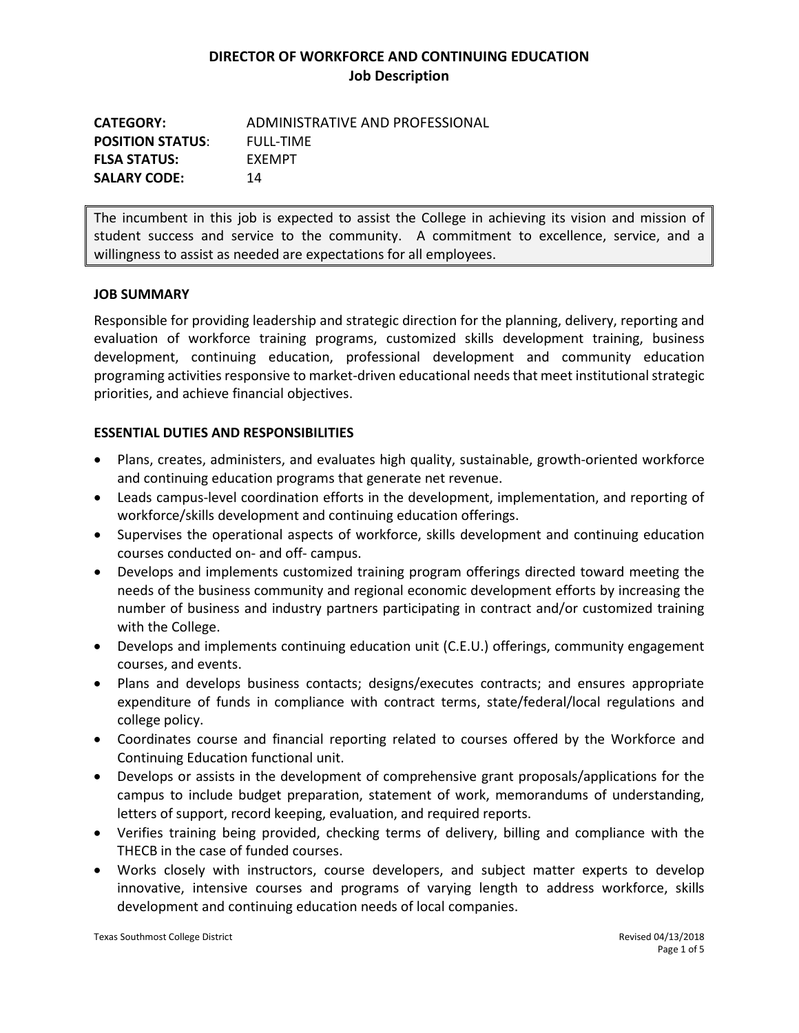| <b>CATEGORY:</b>        | ADMINISTRATIVE AND PROFESSIONAL |
|-------------------------|---------------------------------|
| <b>POSITION STATUS:</b> | FULL-TIMF                       |
| <b>FLSA STATUS:</b>     | <b>FXFMPT</b>                   |
| <b>SALARY CODE:</b>     | 14                              |

The incumbent in this job is expected to assist the College in achieving its vision and mission of student success and service to the community. A commitment to excellence, service, and a willingness to assist as needed are expectations for all employees.

#### **JOB SUMMARY**

Responsible for providing leadership and strategic direction for the planning, delivery, reporting and evaluation of workforce training programs, customized skills development training, business development, continuing education, professional development and community education programing activities responsive to market-driven educational needsthat meet institutional strategic priorities, and achieve financial objectives.

### **ESSENTIAL DUTIES AND RESPONSIBILITIES**

- Plans, creates, administers, and evaluates high quality, sustainable, growth-oriented workforce and continuing education programs that generate net revenue.
- Leads campus-level coordination efforts in the development, implementation, and reporting of workforce/skills development and continuing education offerings.
- Supervises the operational aspects of workforce, skills development and continuing education courses conducted on- and off- campus.
- Develops and implements customized training program offerings directed toward meeting the needs of the business community and regional economic development efforts by increasing the number of business and industry partners participating in contract and/or customized training with the College.
- Develops and implements continuing education unit (C.E.U.) offerings, community engagement courses, and events.
- Plans and develops business contacts; designs/executes contracts; and ensures appropriate expenditure of funds in compliance with contract terms, state/federal/local regulations and college policy.
- Coordinates course and financial reporting related to courses offered by the Workforce and Continuing Education functional unit.
- Develops or assists in the development of comprehensive grant proposals/applications for the campus to include budget preparation, statement of work, memorandums of understanding, letters of support, record keeping, evaluation, and required reports.
- Verifies training being provided, checking terms of delivery, billing and compliance with the THECB in the case of funded courses.
- Works closely with instructors, course developers, and subject matter experts to develop innovative, intensive courses and programs of varying length to address workforce, skills development and continuing education needs of local companies.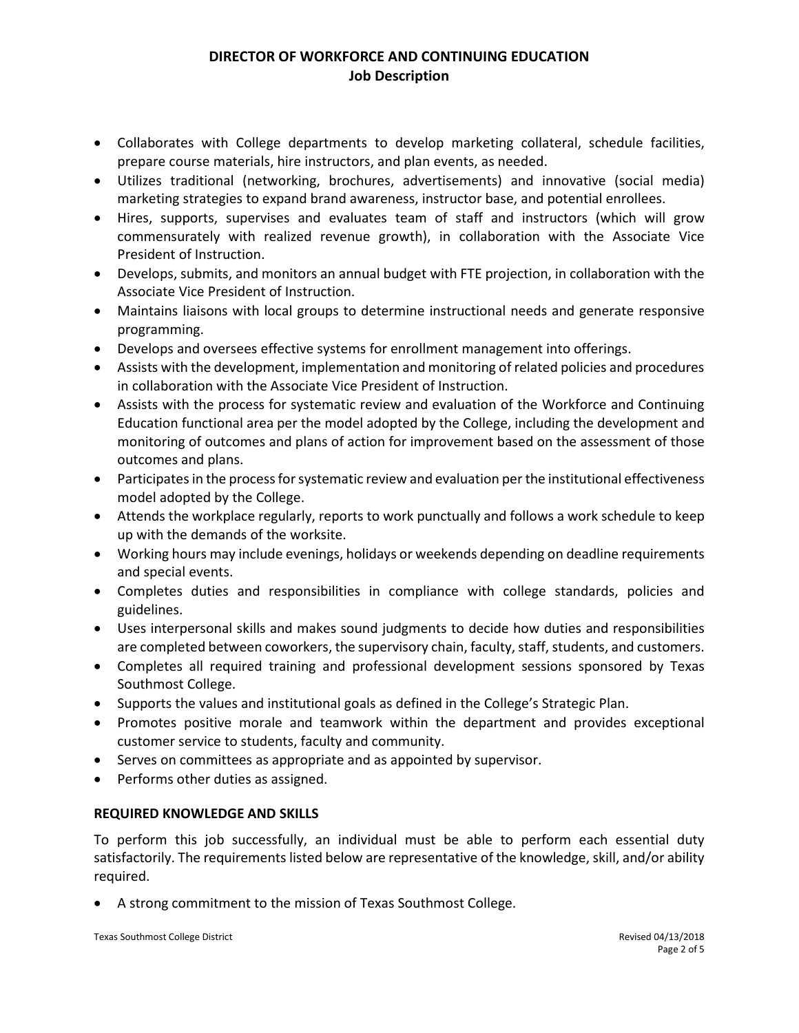- Collaborates with College departments to develop marketing collateral, schedule facilities, prepare course materials, hire instructors, and plan events, as needed.
- Utilizes traditional (networking, brochures, advertisements) and innovative (social media) marketing strategies to expand brand awareness, instructor base, and potential enrollees.
- Hires, supports, supervises and evaluates team of staff and instructors (which will grow commensurately with realized revenue growth), in collaboration with the Associate Vice President of Instruction.
- Develops, submits, and monitors an annual budget with FTE projection, in collaboration with the Associate Vice President of Instruction.
- Maintains liaisons with local groups to determine instructional needs and generate responsive programming.
- Develops and oversees effective systems for enrollment management into offerings.
- Assists with the development, implementation and monitoring of related policies and procedures in collaboration with the Associate Vice President of Instruction.
- Assists with the process for systematic review and evaluation of the Workforce and Continuing Education functional area per the model adopted by the College, including the development and monitoring of outcomes and plans of action for improvement based on the assessment of those outcomes and plans.
- Participates in the process for systematic review and evaluation per the institutional effectiveness model adopted by the College.
- Attends the workplace regularly, reports to work punctually and follows a work schedule to keep up with the demands of the worksite.
- Working hours may include evenings, holidays or weekends depending on deadline requirements and special events.
- Completes duties and responsibilities in compliance with college standards, policies and guidelines.
- Uses interpersonal skills and makes sound judgments to decide how duties and responsibilities are completed between coworkers, the supervisory chain, faculty, staff, students, and customers.
- Completes all required training and professional development sessions sponsored by Texas Southmost College.
- Supports the values and institutional goals as defined in the College's Strategic Plan.
- Promotes positive morale and teamwork within the department and provides exceptional customer service to students, faculty and community.
- Serves on committees as appropriate and as appointed by supervisor.
- Performs other duties as assigned.

### **REQUIRED KNOWLEDGE AND SKILLS**

To perform this job successfully, an individual must be able to perform each essential duty satisfactorily. The requirements listed below are representative of the knowledge, skill, and/or ability required.

• A strong commitment to the mission of Texas Southmost College.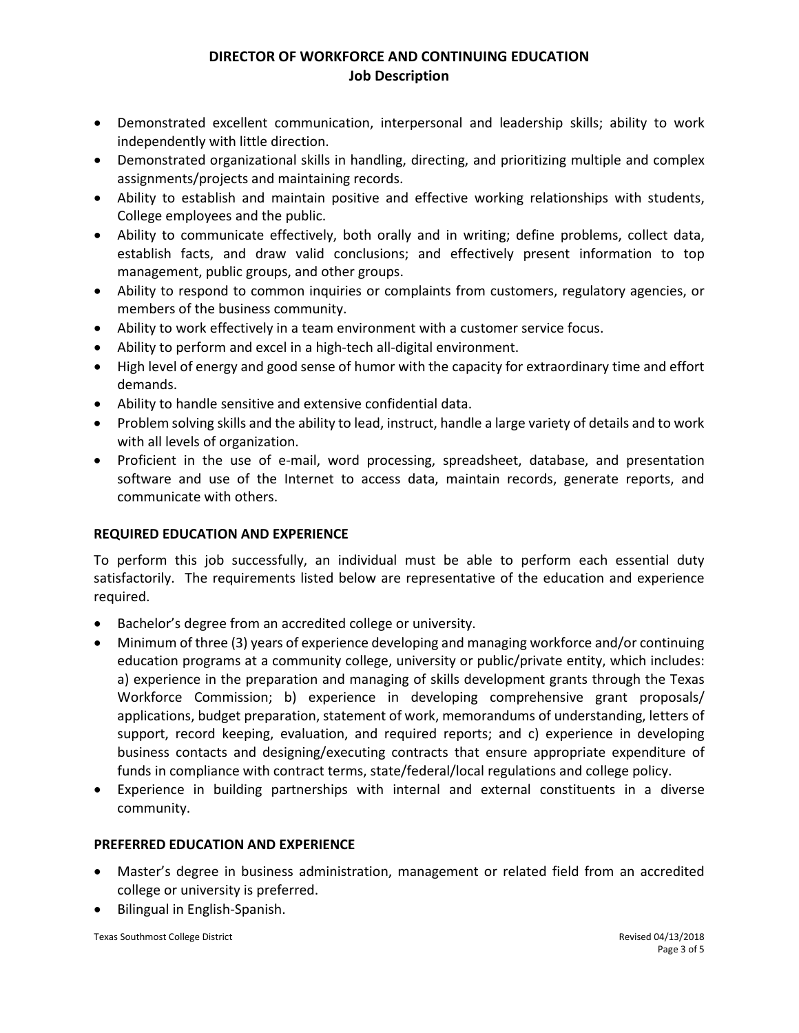- Demonstrated excellent communication, interpersonal and leadership skills; ability to work independently with little direction.
- Demonstrated organizational skills in handling, directing, and prioritizing multiple and complex assignments/projects and maintaining records.
- Ability to establish and maintain positive and effective working relationships with students, College employees and the public.
- Ability to communicate effectively, both orally and in writing; define problems, collect data, establish facts, and draw valid conclusions; and effectively present information to top management, public groups, and other groups.
- Ability to respond to common inquiries or complaints from customers, regulatory agencies, or members of the business community.
- Ability to work effectively in a team environment with a customer service focus.
- Ability to perform and excel in a high-tech all-digital environment.
- High level of energy and good sense of humor with the capacity for extraordinary time and effort demands.
- Ability to handle sensitive and extensive confidential data.
- Problem solving skills and the ability to lead, instruct, handle a large variety of details and to work with all levels of organization.
- Proficient in the use of e-mail, word processing, spreadsheet, database, and presentation software and use of the Internet to access data, maintain records, generate reports, and communicate with others.

### **REQUIRED EDUCATION AND EXPERIENCE**

To perform this job successfully, an individual must be able to perform each essential duty satisfactorily. The requirements listed below are representative of the education and experience required.

- Bachelor's degree from an accredited college or university.
- Minimum of three (3) years of experience developing and managing workforce and/or continuing education programs at a community college, university or public/private entity, which includes: a) experience in the preparation and managing of skills development grants through the Texas Workforce Commission; b) experience in developing comprehensive grant proposals/ applications, budget preparation, statement of work, memorandums of understanding, letters of support, record keeping, evaluation, and required reports; and c) experience in developing business contacts and designing/executing contracts that ensure appropriate expenditure of funds in compliance with contract terms, state/federal/local regulations and college policy.
- Experience in building partnerships with internal and external constituents in a diverse community.

### **PREFERRED EDUCATION AND EXPERIENCE**

- Master's degree in business administration, management or related field from an accredited college or university is preferred.
- Bilingual in English-Spanish.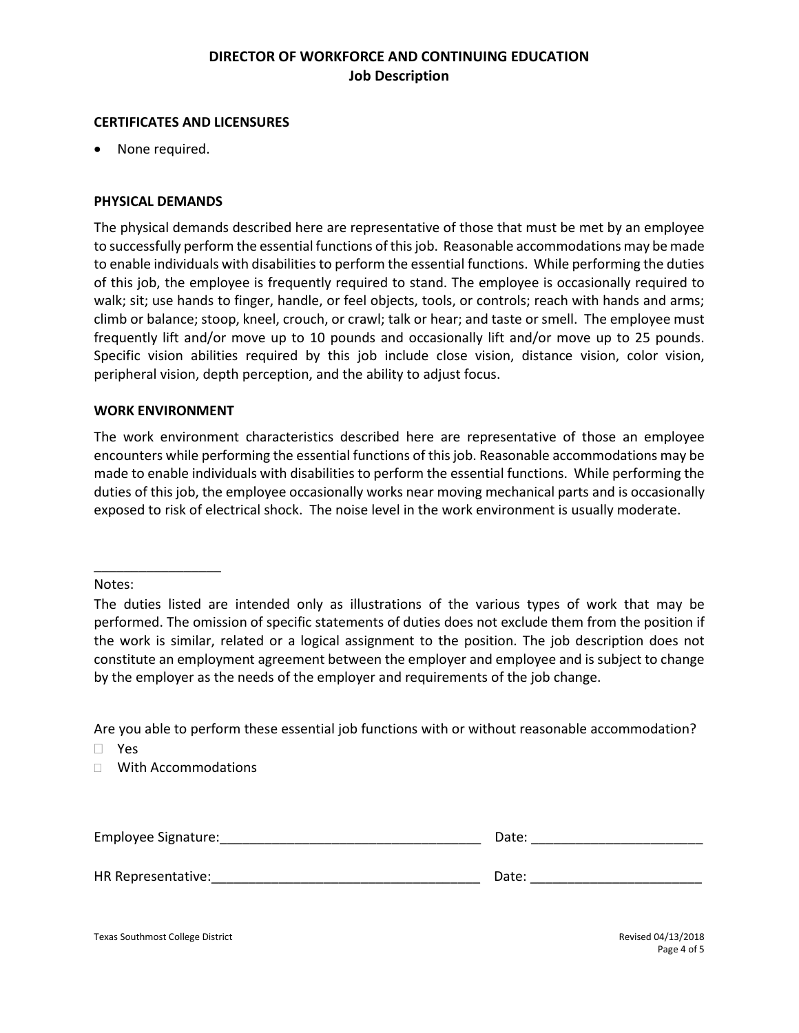#### **CERTIFICATES AND LICENSURES**

None required.

### **PHYSICAL DEMANDS**

The physical demands described here are representative of those that must be met by an employee to successfully perform the essential functions of this job. Reasonable accommodations may be made to enable individuals with disabilities to perform the essential functions. While performing the duties of this job, the employee is frequently required to stand. The employee is occasionally required to walk; sit; use hands to finger, handle, or feel objects, tools, or controls; reach with hands and arms; climb or balance; stoop, kneel, crouch, or crawl; talk or hear; and taste or smell. The employee must frequently lift and/or move up to 10 pounds and occasionally lift and/or move up to 25 pounds. Specific vision abilities required by this job include close vision, distance vision, color vision, peripheral vision, depth perception, and the ability to adjust focus.

#### **WORK ENVIRONMENT**

\_\_\_\_\_\_\_\_\_\_\_\_\_\_\_\_\_

The work environment characteristics described here are representative of those an employee encounters while performing the essential functions of this job. Reasonable accommodations may be made to enable individuals with disabilities to perform the essential functions. While performing the duties of this job, the employee occasionally works near moving mechanical parts and is occasionally exposed to risk of electrical shock. The noise level in the work environment is usually moderate.

Notes:

Are you able to perform these essential job functions with or without reasonable accommodation?

Yes

□ With Accommodations

| Employee Signature: | Date: |
|---------------------|-------|
|                     |       |
| HR Representative:  | Date: |

Texas Southmost College District **National College District** Revised 04/13/2018

Page 4 of 5

The duties listed are intended only as illustrations of the various types of work that may be performed. The omission of specific statements of duties does not exclude them from the position if the work is similar, related or a logical assignment to the position. The job description does not constitute an employment agreement between the employer and employee and is subject to change by the employer as the needs of the employer and requirements of the job change.